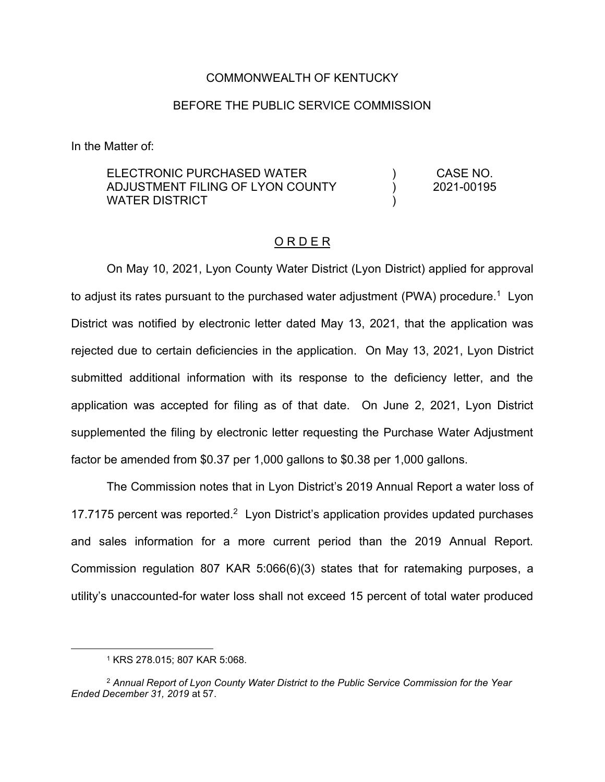### COMMONWEALTH OF KENTUCKY

### BEFORE THE PUBLIC SERVICE COMMISSION

In the Matter of:

ELECTRONIC PURCHASED WATER ADJUSTMENT FILING OF LYON COUNTY WATER DISTRICT ) ) ) CASE NO. 2021-00195

#### O R D E R

On May 10, 2021, Lyon County Water District (Lyon District) applied for approval to adjust its rates pursuant to the purchased water adjustment (PWA) procedure.<sup>1</sup> Lyon District was notified by electronic letter dated May 13, 2021, that the application was rejected due to certain deficiencies in the application. On May 13, 2021, Lyon District submitted additional information with its response to the deficiency letter, and the application was accepted for filing as of that date. On June 2, 2021, Lyon District supplemented the filing by electronic letter requesting the Purchase Water Adjustment factor be amended from \$0.37 per 1,000 gallons to \$0.38 per 1,000 gallons.

The Commission notes that in Lyon District's 2019 Annual Report a water loss of 17.7175 percent was reported.<sup>2</sup> Lyon District's application provides updated purchases and sales information for a more current period than the 2019 Annual Report. Commission regulation 807 KAR 5:066(6)(3) states that for ratemaking purposes, a utility's unaccounted-for water loss shall not exceed 15 percent of total water produced

<sup>1</sup> KRS 278.015; 807 KAR 5:068.

<sup>2</sup> *Annual Report of Lyon County Water District to the Public Service Commission for the Year Ended December 31, 2019* at 57.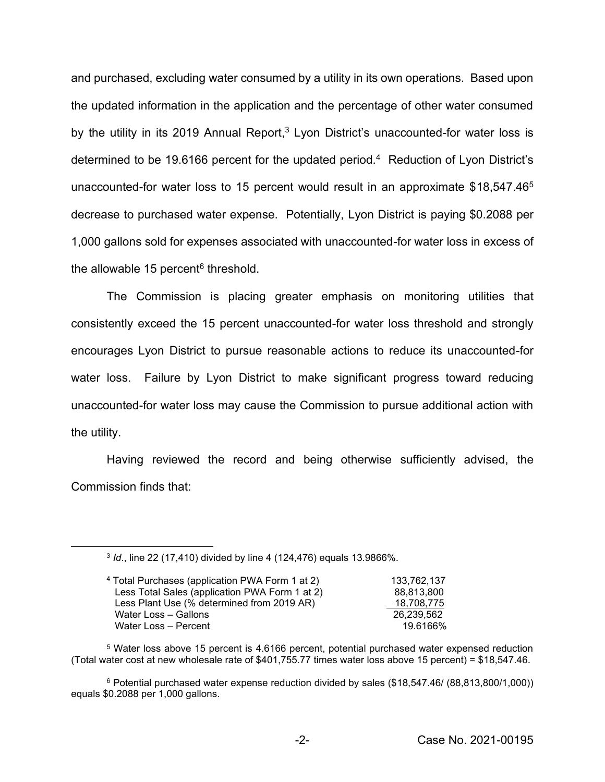and purchased, excluding water consumed by a utility in its own operations. Based upon the updated information in the application and the percentage of other water consumed by the utility in its 2019 Annual Report,<sup>3</sup> Lyon District's unaccounted-for water loss is determined to be 19.6166 percent for the updated period.<sup>4</sup> Reduction of Lyon District's unaccounted-for water loss to 15 percent would result in an approximate \$18,547.465 decrease to purchased water expense. Potentially, Lyon District is paying \$0.2088 per 1,000 gallons sold for expenses associated with unaccounted-for water loss in excess of the allowable 15 percent $6$  threshold.

The Commission is placing greater emphasis on monitoring utilities that consistently exceed the 15 percent unaccounted-for water loss threshold and strongly encourages Lyon District to pursue reasonable actions to reduce its unaccounted-for water loss. Failure by Lyon District to make significant progress toward reducing unaccounted-for water loss may cause the Commission to pursue additional action with the utility.

Having reviewed the record and being otherwise sufficiently advised, the Commission finds that:

<sup>3</sup> *Id*., line 22 (17,410) divided by line 4 (124,476) equals 13.9866%.

| <sup>4</sup> Total Purchases (application PWA Form 1 at 2) | 133.762.137 |
|------------------------------------------------------------|-------------|
| Less Total Sales (application PWA Form 1 at 2)             | 88.813.800  |
| Less Plant Use (% determined from 2019 AR)                 | 18,708,775  |
| Water Loss - Gallons                                       | 26.239.562  |
| Water Loss - Percent                                       | 19.6166%    |

<sup>5</sup> Water loss above 15 percent is 4.6166 percent, potential purchased water expensed reduction (Total water cost at new wholesale rate of \$401,755.77 times water loss above 15 percent) = \$18,547.46.

<sup>6</sup> Potential purchased water expense reduction divided by sales (\$18,547.46/ (88,813,800/1,000)) equals \$0.2088 per 1,000 gallons.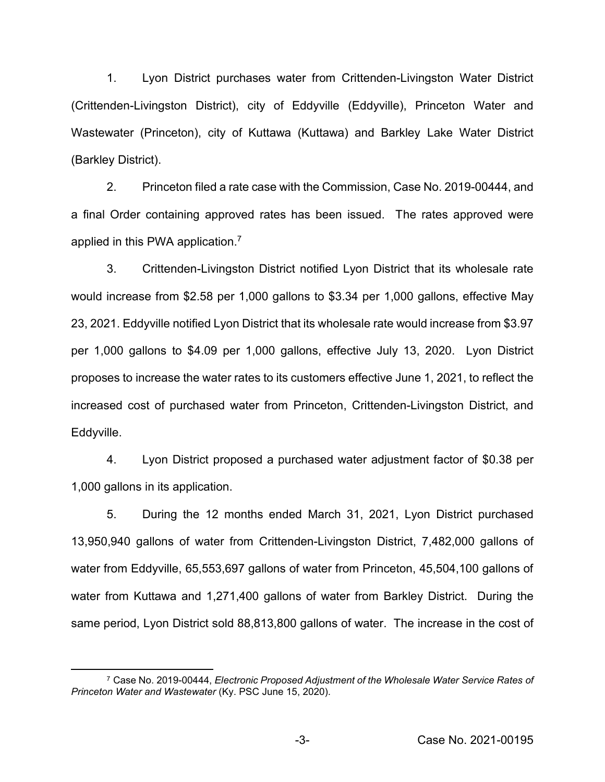1. Lyon District purchases water from Crittenden-Livingston Water District (Crittenden-Livingston District), city of Eddyville (Eddyville), Princeton Water and Wastewater (Princeton), city of Kuttawa (Kuttawa) and Barkley Lake Water District (Barkley District).

2. Princeton filed a rate case with the Commission, Case No. 2019-00444, and a final Order containing approved rates has been issued. The rates approved were applied in this PWA application.<sup>7</sup>

3. Crittenden-Livingston District notified Lyon District that its wholesale rate would increase from \$2.58 per 1,000 gallons to \$3.34 per 1,000 gallons, effective May 23, 2021. Eddyville notified Lyon District that its wholesale rate would increase from \$3.97 per 1,000 gallons to \$4.09 per 1,000 gallons, effective July 13, 2020. Lyon District proposes to increase the water rates to its customers effective June 1, 2021, to reflect the increased cost of purchased water from Princeton, Crittenden-Livingston District, and Eddyville.

4. Lyon District proposed a purchased water adjustment factor of \$0.38 per 1,000 gallons in its application.

5. During the 12 months ended March 31, 2021, Lyon District purchased 13,950,940 gallons of water from Crittenden-Livingston District, 7,482,000 gallons of water from Eddyville, 65,553,697 gallons of water from Princeton, 45,504,100 gallons of water from Kuttawa and 1,271,400 gallons of water from Barkley District. During the same period, Lyon District sold 88,813,800 gallons of water. The increase in the cost of

<sup>7</sup> Case No. 2019-00444, *Electronic Proposed Adjustment of the Wholesale Water Service Rates of Princeton Water and Wastewater* (Ky. PSC June 15, 2020).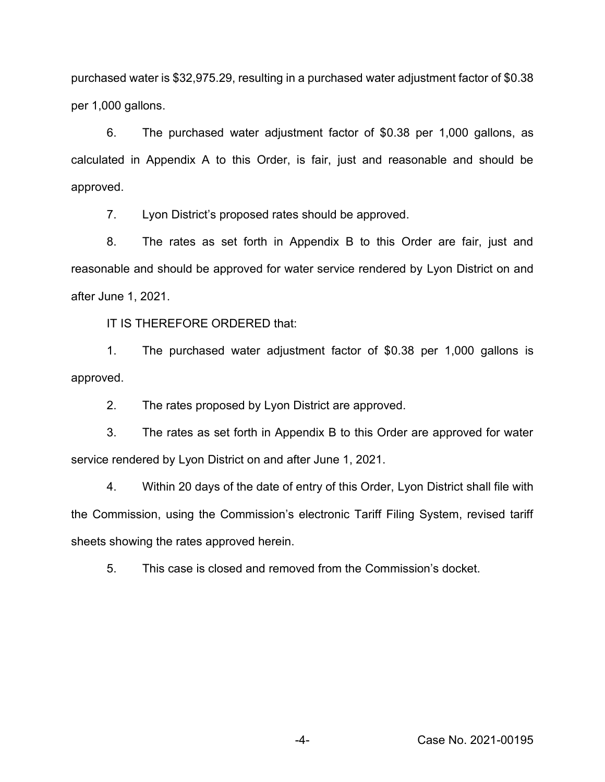purchased water is \$32,975.29, resulting in a purchased water adjustment factor of \$0.38 per 1,000 gallons.

6. The purchased water adjustment factor of \$0.38 per 1,000 gallons, as calculated in Appendix A to this Order, is fair, just and reasonable and should be approved.

7. Lyon District's proposed rates should be approved.

8. The rates as set forth in Appendix B to this Order are fair, just and reasonable and should be approved for water service rendered by Lyon District on and after June 1, 2021.

IT IS THEREFORE ORDERED that:

1. The purchased water adjustment factor of \$0.38 per 1,000 gallons is approved.

2. The rates proposed by Lyon District are approved.

3. The rates as set forth in Appendix B to this Order are approved for water service rendered by Lyon District on and after June 1, 2021.

4. Within 20 days of the date of entry of this Order, Lyon District shall file with the Commission, using the Commission's electronic Tariff Filing System, revised tariff sheets showing the rates approved herein.

5. This case is closed and removed from the Commission's docket.

-4- Case No. 2021-00195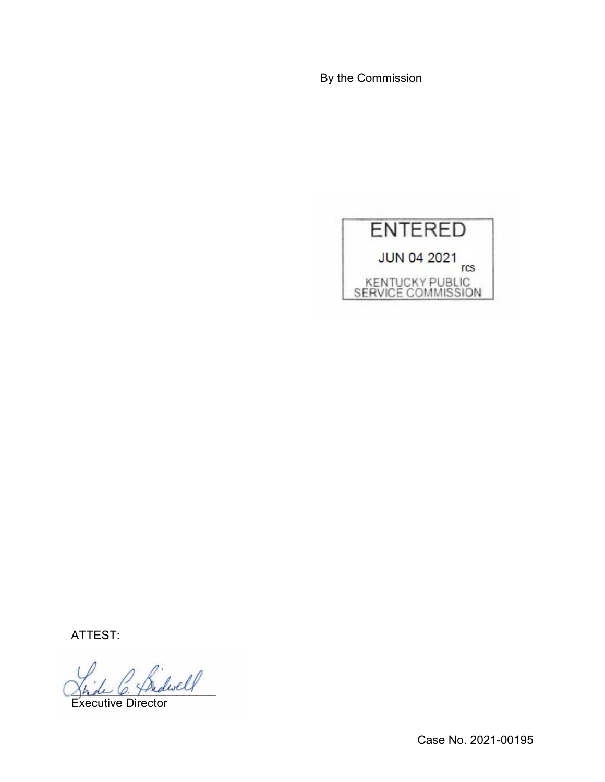By the Commission



ATTEST:

Indivel

Executive Director

Case No. 2021-00195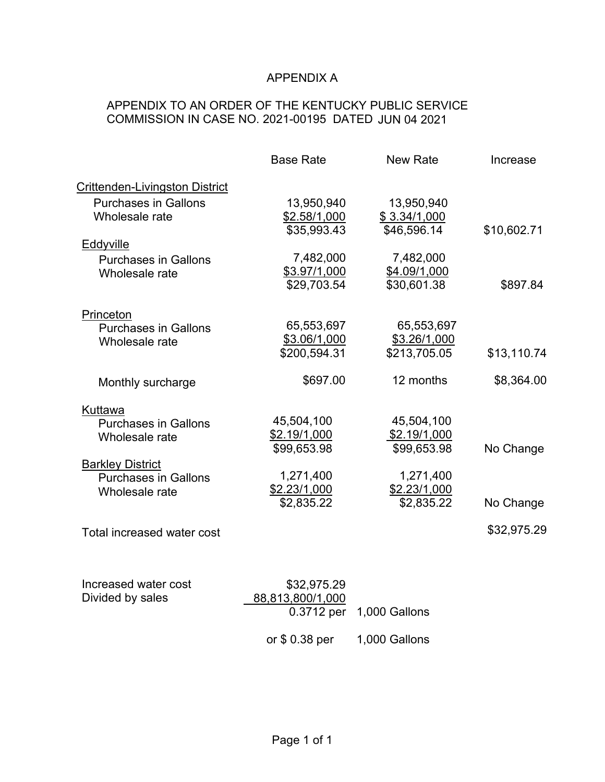# APPENDIX A

# APPENDIX TO AN ORDER OF THE KENTUCKY PUBLIC SERVICE COMMISSION IN CASE NO. 2021-00195 DATED JUN 04 2021

|                                                                          | <b>Base Rate</b>                              | <b>New Rate</b>                            | Increase    |
|--------------------------------------------------------------------------|-----------------------------------------------|--------------------------------------------|-------------|
| Crittenden-Livingston District                                           |                                               |                                            |             |
| <b>Purchases in Gallons</b><br>Wholesale rate                            | 13,950,940<br>\$2.58/1,000<br>\$35,993.43     | 13,950,940<br>\$3.34/1,000<br>\$46,596.14  | \$10,602.71 |
| Eddyville                                                                |                                               |                                            |             |
| <b>Purchases in Gallons</b><br>Wholesale rate                            | 7,482,000<br>\$3.97/1,000<br>\$29,703.54      | 7,482,000<br>\$4.09/1,000<br>\$30,601.38   | \$897.84    |
| Princeton                                                                |                                               |                                            |             |
| <b>Purchases in Gallons</b><br>Wholesale rate                            | 65,553,697<br>\$3.06/1,000<br>\$200,594.31    | 65,553,697<br>\$3.26/1,000<br>\$213,705.05 | \$13,110.74 |
| Monthly surcharge                                                        | \$697.00                                      | 12 months                                  | \$8,364.00  |
| Kuttawa<br><b>Purchases in Gallons</b><br>Wholesale rate                 | 45,504,100<br>\$2.19/1,000<br>\$99,653.98     | 45,504,100<br>\$2.19/1,000<br>\$99,653.98  | No Change   |
| <b>Barkley District</b><br><b>Purchases in Gallons</b><br>Wholesale rate | 1,271,400<br>\$2.23/1,000<br>\$2,835.22       | 1,271,400<br>\$2.23/1,000<br>\$2,835.22    | No Change   |
| Total increased water cost                                               |                                               |                                            | \$32,975.29 |
|                                                                          |                                               |                                            |             |
| Increased water cost<br>Divided by sales                                 | \$32,975.29<br>88,813,800/1,000<br>0.3712 per | 1,000 Gallons                              |             |
|                                                                          | or $$0.38$ per                                | 1,000 Gallons                              |             |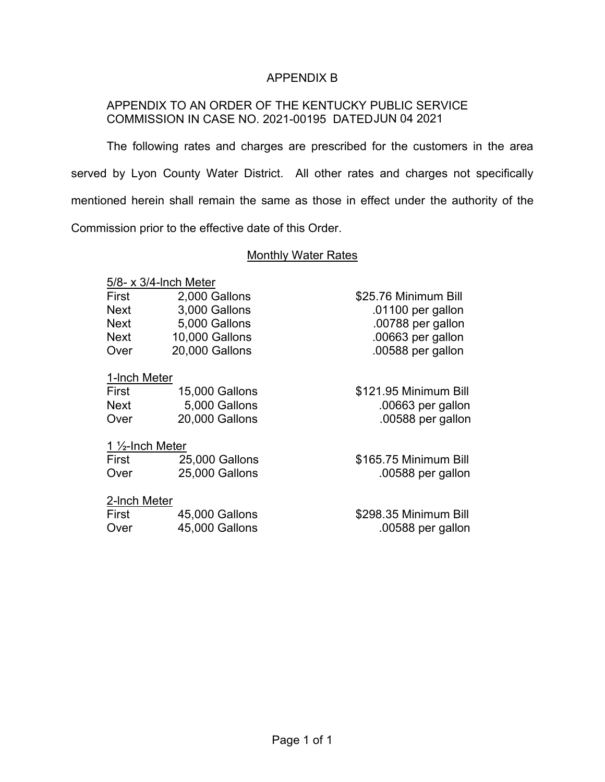## APPENDIX B

## APPENDIX TO AN ORDER OF THE KENTUCKY PUBLIC SERVICE COMMISSION IN CASE NO. 2021-00195 DATED JUN 04 2021

The following rates and charges are prescribed for the customers in the area served by Lyon County Water District. All other rates and charges not specifically mentioned herein shall remain the same as those in effect under the authority of the Commission prior to the effective date of this Order.

### Monthly Water Rates

\$25.76 Minimum Bill  $.01100$  per gallon .00788 per gallon  $.00663$  per gallon .00588 per gallon

\$121.95 Minimum Bill  $.00663$  per gallon .00588 per gallon

### 5/8- x 3/4-lnch Meter

| First       | 2,000 Gallons  |
|-------------|----------------|
| <b>Next</b> | 3.000 Gallons  |
| <b>Next</b> | 5.000 Gallons  |
| Next        | 10.000 Gallons |
| Over        | 20,000 Gallons |

## 1-lnch Meter

| <b>15,000 Gallons</b> |
|-----------------------|
| 5,000 Gallons         |
| 20,000 Gallons        |
|                       |

#### 1 ½-Inch Meter

| First | 25,000 Gallons | \$165.75 Minimum Bill |
|-------|----------------|-----------------------|
| Over  | 25,000 Gallons | .00588 per gallon     |

### 2-lnch Meter

| First | 45,000 Gallons | \$298.35 Minimum Bill |
|-------|----------------|-----------------------|
| Over  | 45,000 Gallons | .00588 per gallon     |